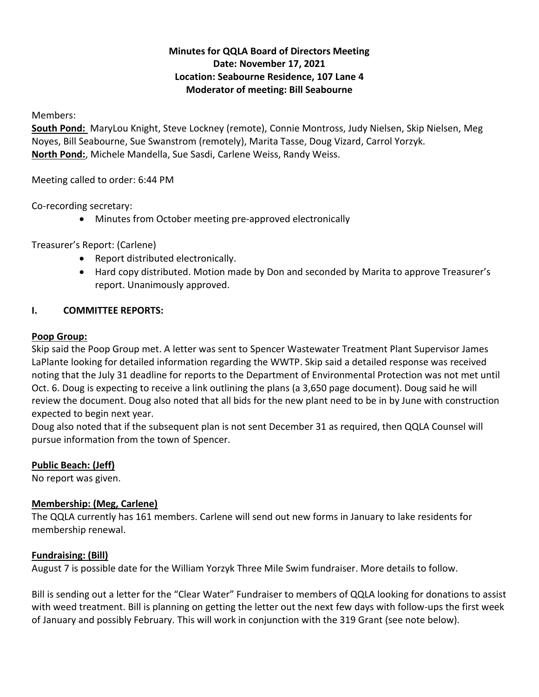# **Minutes for QQLA Board of Directors Meeting Date: November 17, 2021 Location: Seabourne Residence, 107 Lane 4 Moderator of meeting: Bill Seabourne**

Members:

**South Pond:** MaryLou Knight, Steve Lockney (remote), Connie Montross, Judy Nielsen, Skip Nielsen, Meg Noyes, Bill Seabourne, Sue Swanstrom (remotely), Marita Tasse, Doug Vizard, Carrol Yorzyk. **North Pond:**, Michele Mandella, Sue Sasdi, Carlene Weiss, Randy Weiss.

Meeting called to order: 6:44 PM

Co-recording secretary:

• Minutes from October meeting pre-approved electronically

Treasurer's Report: (Carlene)

- Report distributed electronically.
- Hard copy distributed. Motion made by Don and seconded by Marita to approve Treasurer's report. Unanimously approved.

## **I. COMMITTEE REPORTS:**

## **Poop Group:**

Skip said the Poop Group met. A letter was sent to Spencer Wastewater Treatment Plant Supervisor James LaPlante looking for detailed information regarding the WWTP. Skip said a detailed response was received noting that the July 31 deadline for reports to the Department of Environmental Protection was not met until Oct. 6. Doug is expecting to receive a link outlining the plans (a 3,650 page document). Doug said he will review the document. Doug also noted that all bids for the new plant need to be in by June with construction expected to begin next year.

Doug also noted that if the subsequent plan is not sent December 31 as required, then QQLA Counsel will pursue information from the town of Spencer.

# **Public Beach: (Jeff)**

No report was given.

# **Membership: (Meg, Carlene)**

The QQLA currently has 161 members. Carlene will send out new forms in January to lake residents for membership renewal.

# **Fundraising: (Bill)**

August 7 is possible date for the William Yorzyk Three Mile Swim fundraiser. More details to follow.

Bill is sending out a letter for the "Clear Water" Fundraiser to members of QQLA looking for donations to assist with weed treatment. Bill is planning on getting the letter out the next few days with follow-ups the first week of January and possibly February. This will work in conjunction with the 319 Grant (see note below).